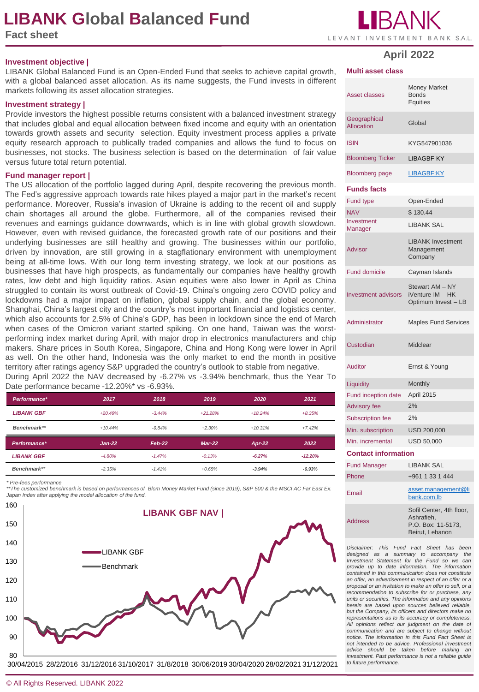# **LIBANK Global Balanced Fund**

**Fact sheet**



#### **Investment objective |**

LIBANK Global Balanced Fund is an Open-Ended Fund that seeks to achieve capital growth, with a global balanced asset allocation. As its name suggests, the Fund invests in different markets following its asset allocation strategies.

#### **Investment strategy |**

Provide investors the highest possible returns consistent with a balanced investment strategy that includes global and equal allocation between fixed income and equity with an orientation towards growth assets and security selection. Equity investment process applies a private equity research approach to publically traded companies and allows the fund to focus on businesses, not stocks. The business selection is based on the determination of fair value versus future total return potential.

#### **Fund manager report |**

The US allocation of the portfolio lagged during April, despite recovering the previous month. The Fed's aggressive approach towards rate hikes played a major part in the market's recent performance. Moreover, Russia's invasion of Ukraine is adding to the recent oil and supply chain shortages all around the globe. Furthermore, all of the companies revised their revenues and earnings guidance downwards, which is in line with global growth slowdown. However, even with revised guidance, the forecasted growth rate of our positions and their underlying businesses are still healthy and growing. The businesses within our portfolio, driven by innovation, are still growing in a stagflationary environment with unemployment being at all-time lows. With our long term investing strategy, we look at our positions as businesses that have high prospects, as fundamentally our companies have healthy growth rates, low debt and high liquidity ratios. Asian equities were also lower in April as China struggled to contain its worst outbreak of Covid-19. China's ongoing zero COVID policy and lockdowns had a major impact on inflation, global supply chain, and the global economy. Shanghai, China's largest city and the country's most important financial and logistics center, which also accounts for 2.5% of China's GDP, has been in lockdown since the end of March when cases of the Omicron variant started spiking. On one hand, Taiwan was the worstperforming index market during April, with major drop in electronics manufacturers and chip makers. Share prices in South Korea, Singapore, China and Hong Kong were lower in April as well. On the other hand, Indonesia was the only market to end the month in positive territory after ratings agency S&P upgraded the country's outlook to stable from negative.

During April 2022 the NAV decreased by -6.27% vs -3.94% benchmark, thus the Year To Date performance became -12.20%\* vs -6.93%.

| Performance*      | 2017      | 2018     | 2019      | 2020      | 2021      |
|-------------------|-----------|----------|-----------|-----------|-----------|
| <b>LIBANK GBF</b> | $+20.46%$ | $-3.44%$ | $+21.28%$ | $+18.24%$ | $+8.35%$  |
| Benchmark**       | $+10.44%$ | $-9.84%$ | $+2.30%$  | $+10.31%$ | $+7.42%$  |
| Performance*      | $Jan-22$  | $Feb-22$ | $Mar-22$  | $Apr-22$  | 2022      |
|                   |           |          |           |           |           |
| <b>LIBANK GBF</b> | $-4.80%$  | $-1.47%$ | $-0.13%$  | $-6.27%$  | $-12.20%$ |

*\* Pre-fees performance*

*\*\*The customized benchmark is based on performances of Blom Money Market Fund (since 2019), S&P 500 & the MSCI AC Far East Ex. Japan Index after applying the model allocation of the fund.*



30/04/2015 28/2/2016 31/12/2016 31/10/2017 31/8/2018 30/06/2019 30/04/2020 28/02/2021 31/12/2021

#### **Multi asset class**

| <b>Asset classes</b>              | <b>Money Market</b><br><b>Bonds</b><br><b>Equities</b>     |  |  |  |
|-----------------------------------|------------------------------------------------------------|--|--|--|
| Geographical<br><b>Allocation</b> | Global                                                     |  |  |  |
| <b>ISIN</b>                       | KYG547901036                                               |  |  |  |
| <b>Bloomberg Ticker</b>           | <b>LIBAGBF KY</b>                                          |  |  |  |
| <b>Bloomberg page</b>             | <b>LIBAGBF:KY</b>                                          |  |  |  |
| <b>Funds facts</b>                |                                                            |  |  |  |
| Fund type                         | Open-Ended                                                 |  |  |  |
| <b>NAV</b>                        | \$130.44                                                   |  |  |  |
| Investment<br>Manager             | <b>LIBANK SAL</b>                                          |  |  |  |
| <b>Advisor</b>                    | <b>LIBANK Investment</b><br>Management<br>Company          |  |  |  |
| Fund domicile                     | Cayman Islands                                             |  |  |  |
| <b>Investment advisors</b>        | Stewart AM - NY<br>iVenture IM - HK<br>Optimum Invest - LB |  |  |  |
| Administrator                     | <b>Maples Fund Services</b>                                |  |  |  |
| Custodian                         | Midclear                                                   |  |  |  |
| <b>Auditor</b>                    | Ernst & Young                                              |  |  |  |
| Liquidity                         | Monthly                                                    |  |  |  |
| Fund inception date               | April 2015                                                 |  |  |  |
| <b>Advisory fee</b>               | 2%                                                         |  |  |  |
| <b>Subscription fee</b>           | 2%                                                         |  |  |  |
| Min. subscription                 | USD 200,000                                                |  |  |  |
| Min. incremental                  | <b>USD 50,000</b>                                          |  |  |  |
| <b>Contact information</b>        |                                                            |  |  |  |
| <b>Fund Manager</b>               | <b>LIBANK SAL</b>                                          |  |  |  |
| Phone                             | +961 1 33 1 444                                            |  |  |  |
|                                   |                                                            |  |  |  |

| Phone          | +961 1 33 1 444                                                                 |
|----------------|---------------------------------------------------------------------------------|
| Email          | asset.management@li<br>bank.com.lb                                              |
| <b>Address</b> | Sofil Center, 4th floor,<br>Ashrafieh.<br>P.O. Box: 11-5173,<br>Beirut, Lebanon |

*Disclaimer: This Fund Fact Sheet has been designed as a summary to accompany the Investment Statement for the Fund so we can provide up to date information. The information contained in this communication does not constitute an offer, an advertisement in respect of an offer or a proposal or an invitation to make an offer to sell, or a recommendation to subscribe for or purchase, any units or securities. The information and any opinions herein are based upon sources believed reliable, but the Company, its officers and directors make no representations as to its accuracy or completeness. All opinions reflect our judgment on the date of communication and are subject to change without notice. The information in this Fund Fact Sheet is not intended to be advice. Professional investment advice should be taken before making an investment. Past performance is not a reliable guide to future performance.*